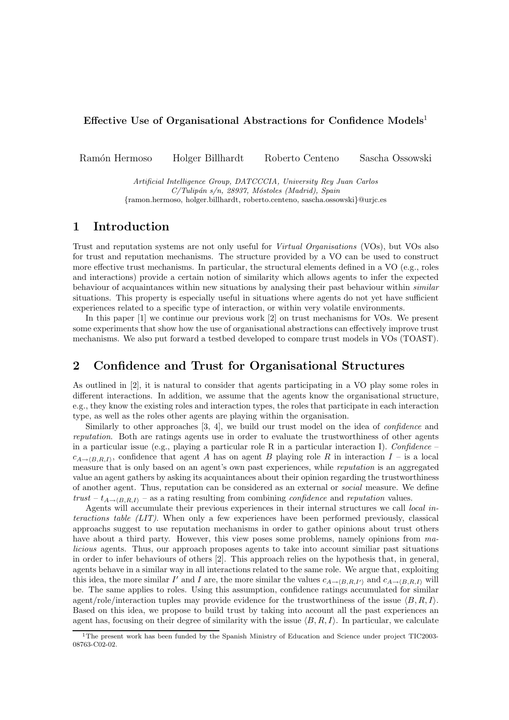#### Effective Use of Organisational Abstractions for Confidence Models<sup>1</sup>

Ram´on Hermoso Holger Billhardt Roberto Centeno Sascha Ossowski

Artificial Intelligence Group, DATCCCIA, University Rey Juan Carlos  $C/Tulipán s/n, 28937, Móstoles (Madrid), Spain$ {ramon.hermoso, holger.billhardt, roberto.centeno, sascha.ossowski}@urjc.es

### 1 Introduction

Trust and reputation systems are not only useful for Virtual Organisations (VOs), but VOs also for trust and reputation mechanisms. The structure provided by a VO can be used to construct more effective trust mechanisms. In particular, the structural elements defined in a VO (e.g., roles and interactions) provide a certain notion of similarity which allows agents to infer the expected behaviour of acquaintances within new situations by analysing their past behaviour within *similar* situations. This property is especially useful in situations where agents do not yet have sufficient experiences related to a specific type of interaction, or within very volatile environments.

In this paper [1] we continue our previous work [2] on trust mechanisms for VOs. We present some experiments that show how the use of organisational abstractions can effectively improve trust mechanisms. We also put forward a testbed developed to compare trust models in VOs (TOAST).

### 2 Confidence and Trust for Organisational Structures

As outlined in [2], it is natural to consider that agents participating in a VO play some roles in different interactions. In addition, we assume that the agents know the organisational structure, e.g., they know the existing roles and interaction types, the roles that participate in each interaction type, as well as the roles other agents are playing within the organisation.

Similarly to other approaches [3, 4], we build our trust model on the idea of confidence and reputation. Both are ratings agents use in order to evaluate the trustworthiness of other agents in a particular issue (e.g., playing a particular role R in a particular interaction I). Confidence –  $c_{A\to(B,R,I)}$ , confidence that agent A has on agent B playing role R in interaction I – is a local measure that is only based on an agent's own past experiences, while *reputation* is an aggregated value an agent gathers by asking its acquaintances about their opinion regarding the trustworthiness of another agent. Thus, reputation can be considered as an external or social measure. We define trust –  $t_{A\rightarrow\langle B,R,I\rangle}$  – as a rating resulting from combining *confidence* and *reputation* values.

Agents will accumulate their previous experiences in their internal structures we call local interactions table (LIT). When only a few experiences have been performed previously, classical approachs suggest to use reputation mechanisms in order to gather opinions about trust others have about a third party. However, this view poses some problems, namely opinions from malicious agents. Thus, our approach proposes agents to take into account similiar past situations in order to infer behaviours of others [2]. This approach relies on the hypothesis that, in general, agents behave in a similar way in all interactions related to the same role. We argue that, exploiting this idea, the more similar I' and I are, the more similar the values  $c_{A\to(B,R,I')}$  and  $c_{A\to(B,R,I)}$  will be. The same applies to roles. Using this assumption, confidence ratings accumulated for similar agent/role/interaction tuples may provide evidence for the trustworthiness of the issue  $\langle B, R, I \rangle$ . Based on this idea, we propose to build trust by taking into account all the past experiences an agent has, focusing on their degree of similarity with the issue  $\langle B, R, I \rangle$ . In particular, we calculate

<sup>1</sup>The present work has been funded by the Spanish Ministry of Education and Science under project TIC2003- 08763-C02-02.